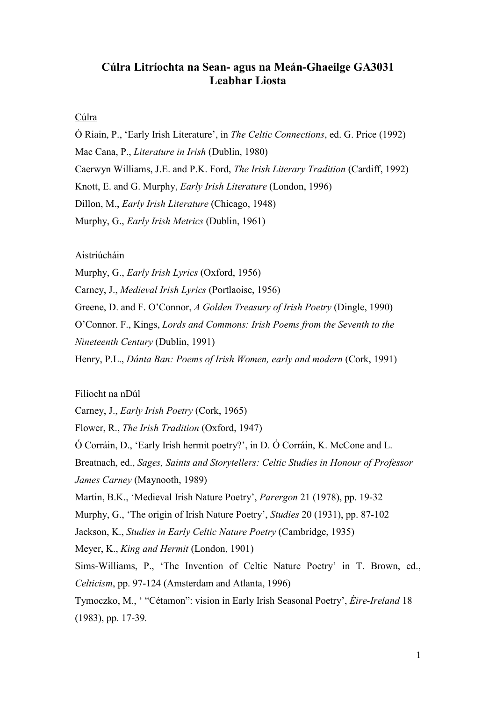# **Cúlra Litríochta na Sean- agus na Meán-Ghaeilge GA3031 Leabhar Liosta**

## Cúlra

Ó Riain, P., 'Early Irish Literature', in *The Celtic Connections*, ed. G. Price (1992) Mac Cana, P., *Literature in Irish* (Dublin, 1980) Caerwyn Williams, J.E. and P.K. Ford, *The Irish Literary Tradition* (Cardiff, 1992) Knott, E. and G. Murphy, *Early Irish Literature* (London, 1996) Dillon, M., *Early Irish Literature* (Chicago, 1948) Murphy, G., *Early Irish Metrics* (Dublin, 1961)

## Aistriúcháin

Murphy, G., *Early Irish Lyrics* (Oxford, 1956)

Carney, J., *Medieval Irish Lyrics* (Portlaoise, 1956)

Greene, D. and F. O'Connor, *A Golden Treasury of Irish Poetry* (Dingle, 1990)

O'Connor. F., Kings, *Lords and Commons: Irish Poems from the Seventh to the* 

*Nineteenth Century* (Dublin, 1991)

Henry, P.L., *Dánta Ban: Poems of Irish Women, early and modern* (Cork, 1991)

## Filíocht na nDúl

Carney, J., *Early Irish Poetry* (Cork, 1965)

Flower, R., *The Irish Tradition* (Oxford, 1947)

Ó Corráin, D., 'Early Irish hermit poetry?', in D. Ó Corráin, K. McCone and L.

Breatnach, ed., *Sages, Saints and Storytellers: Celtic Studies in Honour of Professor James Carney* (Maynooth, 1989)

Martin, B.K., 'Medieval Irish Nature Poetry', *Parergon* 21 (1978), pp. 19-32

Murphy, G., 'The origin of Irish Nature Poetry', *Studies* 20 (1931), pp. 87-102

Jackson, K., *Studies in Early Celtic Nature Poetry* (Cambridge, 1935)

Meyer, K., *King and Hermit* (London, 1901)

Sims-Williams, P., 'The Invention of Celtic Nature Poetry' in T. Brown, ed., *Celticism*, pp. 97-124 (Amsterdam and Atlanta, 1996)

Tymoczko, M., ' "Cétamon": vision in Early Irish Seasonal Poetry', *Éire-Ireland* 18 (1983), pp. 17-39*.*